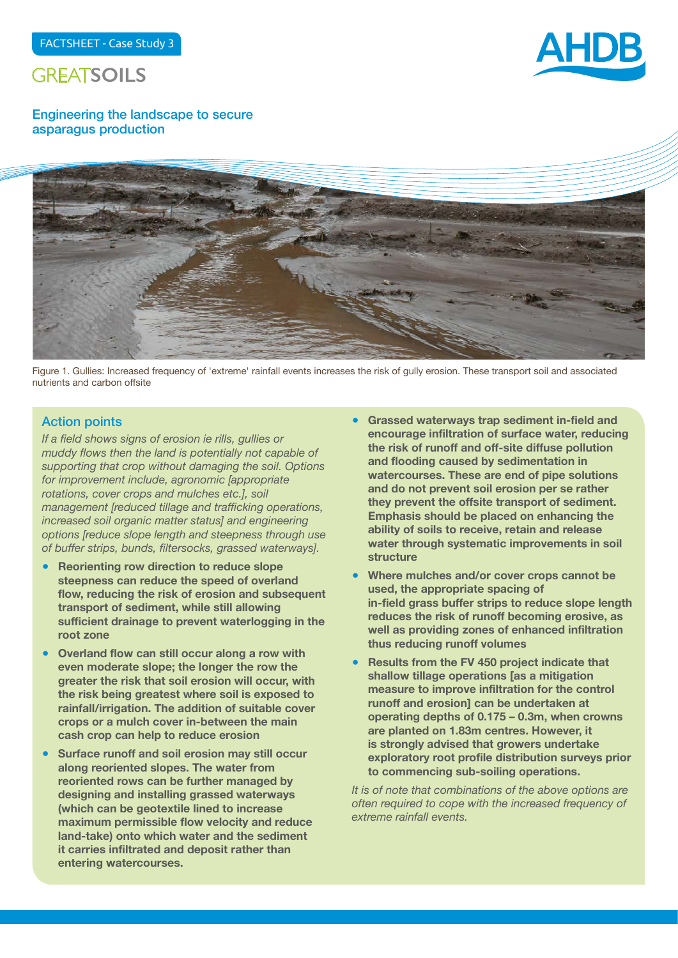



Engineering the landscape to secure asparagus production



Figure 1. Gullies: Increased frequency of 'extreme' rainfall events increases the risk of gully erosion. These transport soil and associated nutrients and carbon offsite

#### Action points

*If a field shows signs of erosion ie rills, gullies or muddy flows then the land is potentially not capable of supporting that crop without damaging the soil. Options for improvement include, agronomic [appropriate rotations, cover crops and mulches etc.], soil management [reduced tillage and trafficking operations, increased soil organic matter status] and engineering options [reduce slope length and steepness through use of buffer strips, bunds, filtersocks, grassed waterways].*

- **Reorienting row direction to reduce slope steepness can reduce the speed of overland flow, reducing the risk of erosion and subsequent transport of sediment, while still allowing sufficient drainage to prevent waterlogging in the root zone**
- **Overland flow can still occur along a row with even moderate slope; the longer the row the greater the risk that soil erosion will occur, with the risk being greatest where soil is exposed to rainfall/irrigation. The addition of suitable cover crops or a mulch cover in-between the main cash crop can help to reduce erosion**
- **Surface runoff and soil erosion may still occur along reoriented slopes. The water from reoriented rows can be further managed by designing and installing grassed waterways (which can be geotextile lined to increase maximum permissible flow velocity and reduce land-take) onto which water and the sediment it carries infiltrated and deposit rather than entering watercourses.**
- **Grassed waterways trap sediment in-field and encourage infiltration of surface water, reducing the risk of runoff and off-site diffuse pollution and flooding caused by sedimentation in watercourses. These are end of pipe solutions and do not prevent soil erosion per se rather they prevent the offsite transport of sediment. Emphasis should be placed on enhancing the ability of soils to receive, retain and release water through systematic improvements in soil structure**
- **Where mulches and/or cover crops cannot be used, the appropriate spacing of in-field grass buffer strips to reduce slope length reduces the risk of runoff becoming erosive, as well as providing zones of enhanced infiltration thus reducing runoff volumes**
- **Results from the FV 450 project indicate that shallow tillage operations [as a mitigation measure to improve infiltration for the control runoff and erosion] can be undertaken at operating depths of 0.175 – 0.3m, when crowns are planted on 1.83m centres. However, it is strongly advised that growers undertake exploratory root profile distribution surveys prior to commencing sub-soiling operations.**

*It is of note that combinations of the above options are often required to cope with the increased frequency of extreme rainfall events.*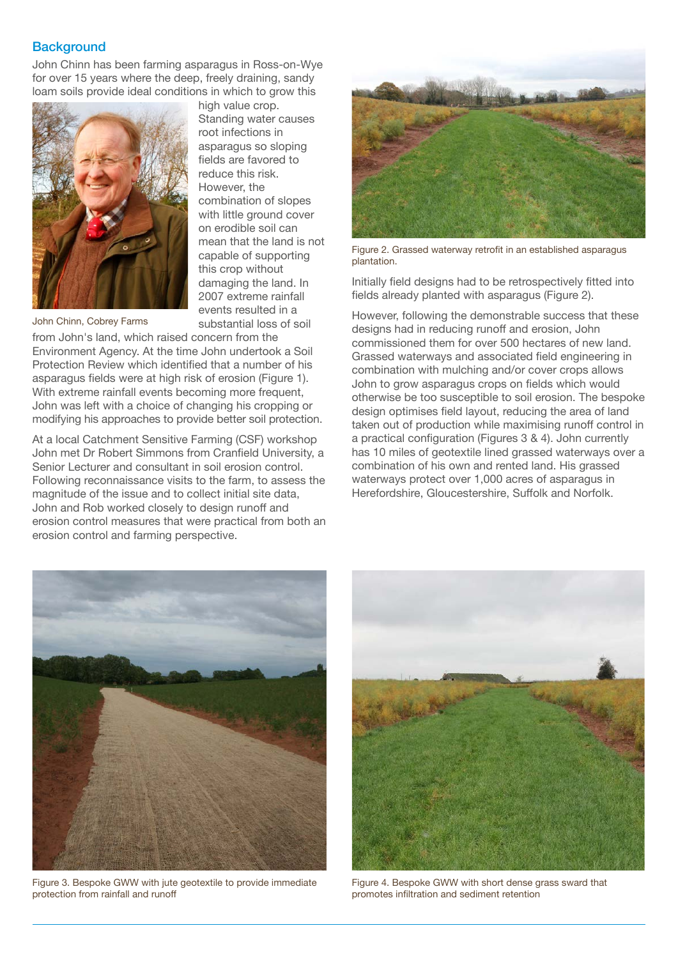#### **Background**

John Chinn has been farming asparagus in Ross-on-Wye for over 15 years where the deep, freely draining, sandy loam soils provide ideal conditions in which to grow this



high value crop. Standing water causes root infections in asparagus so sloping fields are favored to reduce this risk. However, the combination of slopes with little ground cover on erodible soil can mean that the land is not capable of supporting this crop without damaging the land. In 2007 extreme rainfall events resulted in a substantial loss of soil

John Chinn, Cobrey Farms

from John's land, which raised concern from the Environment Agency. At the time John undertook a Soil Protection Review which identified that a number of his asparagus fields were at high risk of erosion (Figure 1). With extreme rainfall events becoming more frequent, John was left with a choice of changing his cropping or modifying his approaches to provide better soil protection.

At a local Catchment Sensitive Farming (CSF) workshop John met Dr Robert Simmons from Cranfield University, a Senior Lecturer and consultant in soil erosion control. Following reconnaissance visits to the farm, to assess the magnitude of the issue and to collect initial site data, John and Rob worked closely to design runoff and erosion control measures that were practical from both an erosion control and farming perspective.



Figure 2. Grassed waterway retrofit in an established asparagus plantation.

Initially field designs had to be retrospectively fitted into fields already planted with asparagus (Figure 2).

However, following the demonstrable success that these designs had in reducing runoff and erosion, John commissioned them for over 500 hectares of new land. Grassed waterways and associated field engineering in combination with mulching and/or cover crops allows John to grow asparagus crops on fields which would otherwise be too susceptible to soil erosion. The bespoke design optimises field layout, reducing the area of land taken out of production while maximising runoff control in a practical configuration (Figures 3 & 4). John currently has 10 miles of geotextile lined grassed waterways over a combination of his own and rented land. His grassed waterways protect over 1,000 acres of asparagus in Herefordshire, Gloucestershire, Suffolk and Norfolk.



Figure 3. Bespoke GWW with jute geotextile to provide immediate protection from rainfall and runoff



Figure 4. Bespoke GWW with short dense grass sward that promotes infiltration and sediment retention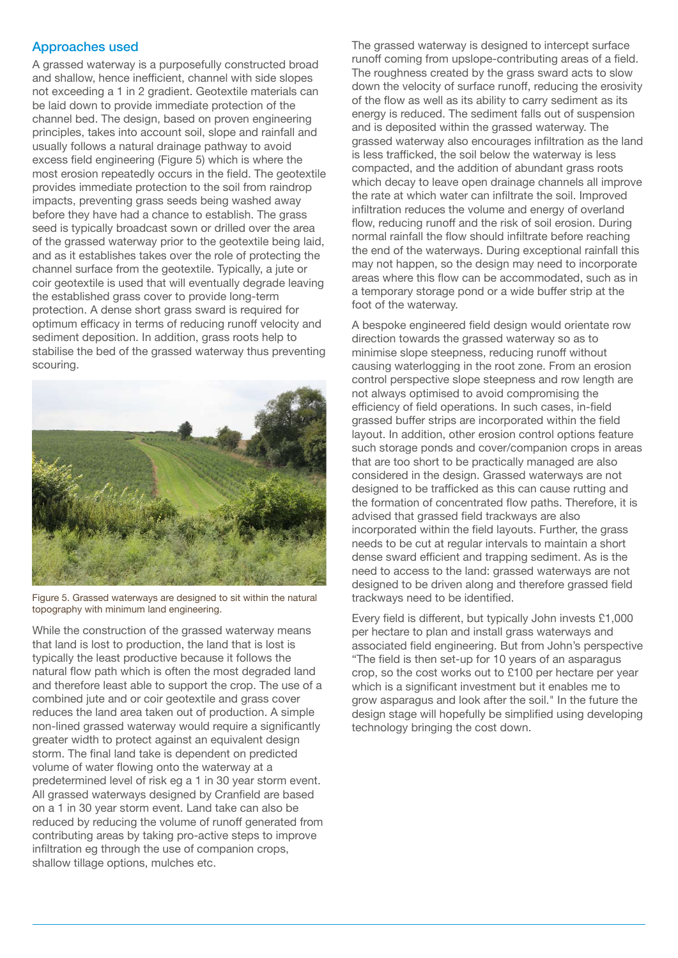### Approaches used

A grassed waterway is a purposefully constructed broad and shallow, hence inefficient, channel with side slopes not exceeding a 1 in 2 gradient. Geotextile materials can be laid down to provide immediate protection of the channel bed. The design, based on proven engineering principles, takes into account soil, slope and rainfall and usually follows a natural drainage pathway to avoid excess field engineering (Figure 5) which is where the most erosion repeatedly occurs in the field. The geotextile provides immediate protection to the soil from raindrop impacts, preventing grass seeds being washed away before they have had a chance to establish. The grass seed is typically broadcast sown or drilled over the area of the grassed waterway prior to the geotextile being laid, and as it establishes takes over the role of protecting the channel surface from the geotextile. Typically, a jute or coir geotextile is used that will eventually degrade leaving the established grass cover to provide long-term protection. A dense short grass sward is required for optimum efficacy in terms of reducing runoff velocity and sediment deposition. In addition, grass roots help to stabilise the bed of the grassed waterway thus preventing scouring.



Figure 5. Grassed waterways are designed to sit within the natural topography with minimum land engineering.

While the construction of the grassed waterway means that land is lost to production, the land that is lost is typically the least productive because it follows the natural flow path which is often the most degraded land and therefore least able to support the crop. The use of a combined jute and or coir geotextile and grass cover reduces the land area taken out of production. A simple non-lined grassed waterway would require a significantly greater width to protect against an equivalent design storm. The final land take is dependent on predicted volume of water flowing onto the waterway at a predetermined level of risk eg a 1 in 30 year storm event. All grassed waterways designed by Cranfield are based on a 1 in 30 year storm event. Land take can also be reduced by reducing the volume of runoff generated from contributing areas by taking pro-active steps to improve infiltration eg through the use of companion crops, shallow tillage options, mulches etc.

The grassed waterway is designed to intercept surface runoff coming from upslope-contributing areas of a field. The roughness created by the grass sward acts to slow down the velocity of surface runoff, reducing the erosivity of the flow as well as its ability to carry sediment as its energy is reduced. The sediment falls out of suspension and is deposited within the grassed waterway. The grassed waterway also encourages infiltration as the land is less trafficked, the soil below the waterway is less compacted, and the addition of abundant grass roots which decay to leave open drainage channels all improve the rate at which water can infiltrate the soil. Improved infiltration reduces the volume and energy of overland flow, reducing runoff and the risk of soil erosion. During normal rainfall the flow should infiltrate before reaching the end of the waterways. During exceptional rainfall this may not happen, so the design may need to incorporate areas where this flow can be accommodated, such as in a temporary storage pond or a wide buffer strip at the foot of the waterway.

A bespoke engineered field design would orientate row direction towards the grassed waterway so as to minimise slope steepness, reducing runoff without causing waterlogging in the root zone. From an erosion control perspective slope steepness and row length are not always optimised to avoid compromising the efficiency of field operations. In such cases, in-field grassed buffer strips are incorporated within the field layout. In addition, other erosion control options feature such storage ponds and cover/companion crops in areas that are too short to be practically managed are also considered in the design. Grassed waterways are not designed to be trafficked as this can cause rutting and the formation of concentrated flow paths. Therefore, it is advised that grassed field trackways are also incorporated within the field layouts. Further, the grass needs to be cut at regular intervals to maintain a short dense sward efficient and trapping sediment. As is the need to access to the land: grassed waterways are not designed to be driven along and therefore grassed field trackways need to be identified.

Every field is different, but typically John invests £1,000 per hectare to plan and install grass waterways and associated field engineering. But from John's perspective "The field is then set-up for 10 years of an asparagus crop, so the cost works out to £100 per hectare per year which is a significant investment but it enables me to grow asparagus and look after the soil." In the future the design stage will hopefully be simplified using developing technology bringing the cost down.